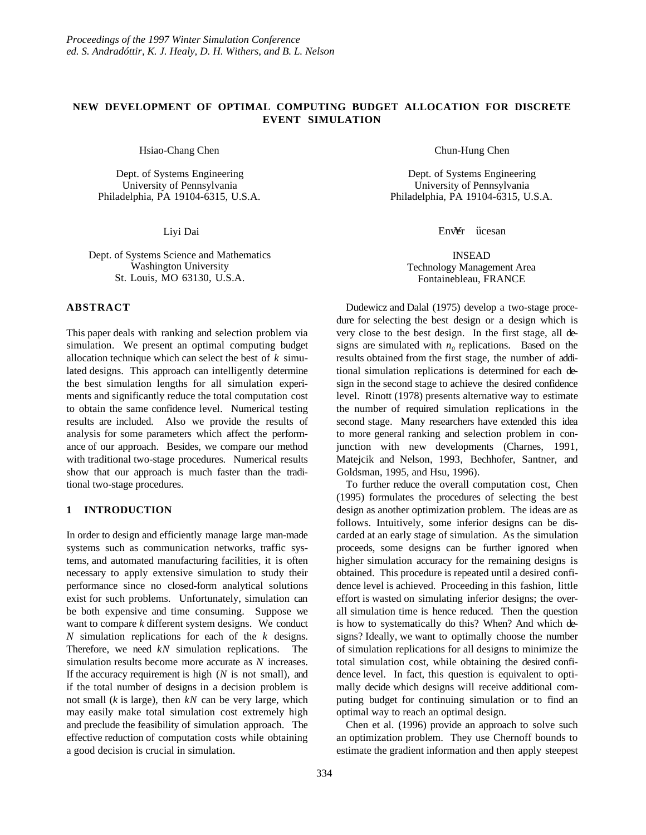# **NEW DEVELOPMENT OF OPTIMAL COMPUTING BUDGET ALLOCATION FOR DISCRETE EVENT SIMULATION**

Hsiao-Chang Chen

Dept. of Systems Engineering University of Pennsylvania Philadelphia, PA 19104-6315, U.S.A.

Liyi Dai

Dept. of Systems Science and Mathematics Washington University St. Louis, MO 63130, U.S.A.

# **ABSTRACT**

This paper deals with ranking and selection problem via simulation. We present an optimal computing budget allocation technique which can select the best of *k* simulated designs. This approach can intelligently determine the best simulation lengths for all simulation experiments and significantly reduce the total computation cost to obtain the same confidence level. Numerical testing results are included. Also we provide the results of analysis for some parameters which affect the performance of our approach. Besides, we compare our method with traditional two-stage procedures. Numerical results show that our approach is much faster than the traditional two-stage procedures.

# **1 INTRODUCTION**

In order to design and efficiently manage large man-made systems such as communication networks, traffic systems, and automated manufacturing facilities, it is often necessary to apply extensive simulation to study their performance since no closed-form analytical solutions exist for such problems. Unfortunately, simulation can be both expensive and time consuming. Suppose we want to compare *k* different system designs. We conduct *N* simulation replications for each of the *k* designs. Therefore, we need *kN* simulation replications. The simulation results become more accurate as *N* increases. If the accuracy requirement is high (*N* is not small), and if the total number of designs in a decision problem is not small (*k* is large), then *kN* can be very large, which may easily make total simulation cost extremely high and preclude the feasibility of simulation approach. The effective reduction of computation costs while obtaining a good decision is crucial in simulation.

Chun-Hung Chen

Dept. of Systems Engineering University of Pennsylvania Philadelphia, PA 19104-6315, U.S.A.

Env¥r ücesan

INSEAD Technology Management Area Fontainebleau, FRANCE

Dudewicz and Dalal (1975) develop a two-stage procedure for selecting the best design or a design which is very close to the best design. In the first stage, all designs are simulated with  $n_0$  replications. Based on the results obtained from the first stage, the number of additional simulation replications is determined for each design in the second stage to achieve the desired confidence level. Rinott (1978) presents alternative way to estimate the number of required simulation replications in the second stage. Many researchers have extended this idea to more general ranking and selection problem in conjunction with new developments (Charnes, 1991, Matejcik and Nelson, 1993, Bechhofer, Santner, and Goldsman, 1995, and Hsu, 1996).

To further reduce the overall computation cost, Chen (1995) formulates the procedures of selecting the best design as another optimization problem. The ideas are as follows. Intuitively, some inferior designs can be discarded at an early stage of simulation. As the simulation proceeds, some designs can be further ignored when higher simulation accuracy for the remaining designs is obtained. This procedure is repeated until a desired confidence level is achieved. Proceeding in this fashion, little effort is wasted on simulating inferior designs; the overall simulation time is hence reduced. Then the question is how to systematically do this? When? And which designs? Ideally, we want to optimally choose the number of simulation replications for all designs to minimize the total simulation cost, while obtaining the desired confidence level. In fact, this question is equivalent to optimally decide which designs will receive additional computing budget for continuing simulation or to find an optimal way to reach an optimal design.

Chen et al. (1996) provide an approach to solve such an optimization problem. They use Chernoff bounds to estimate the gradient information and then apply steepest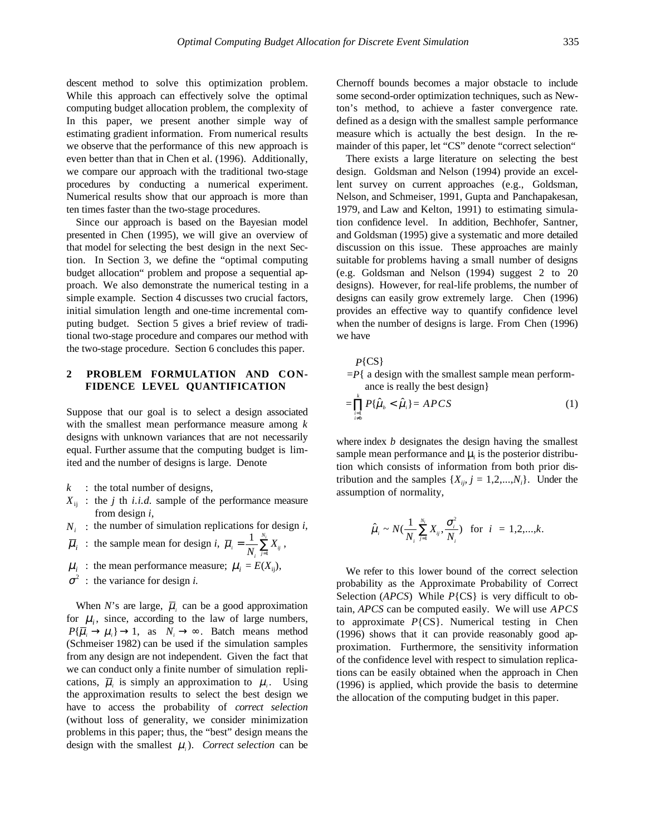descent method to solve this optimization problem. While this approach can effectively solve the optimal computing budget allocation problem, the complexity of In this paper, we present another simple way of estimating gradient information. From numerical results we observe that the performance of this new approach is even better than that in Chen et al. (1996). Additionally, we compare our approach with the traditional two-stage procedures by conducting a numerical experiment. Numerical results show that our approach is more than ten times faster than the two-stage procedures.

Since our approach is based on the Bayesian model presented in Chen (1995), we will give an overview of that model for selecting the best design in the next Section. In Section 3, we define the "optimal computing budget allocation" problem and propose a sequential approach. We also demonstrate the numerical testing in a simple example. Section 4 discusses two crucial factors, initial simulation length and one-time incremental computing budget. Section 5 gives a brief review of traditional two-stage procedure and compares our method with the two-stage procedure. Section 6 concludes this paper.

### **2 PROBLEM FORMULATION AND CON-FIDENCE LEVEL QUANTIFICATION**

Suppose that our goal is to select a design associated with the smallest mean performance measure among *k* designs with unknown variances that are not necessarily equal. Further assume that the computing budget is limited and the number of designs is large. Denote

- $k$  : the total number of designs,
- $X_{ii}$ : the *j* th *i.i.d.* sample of the performance measure from design *i*,
- $N_i$ : the number of simulation replications for design *i*,
- $\overline{\mu}_i$  : the sample mean for design *i*,  $\overline{\mu}_i = \frac{1}{N_i} \sum_{j=1}^{N_i} X_{ij}$  $\sum^{N_i} X_{_{ij}}$  ,
- $\mu_i$ : the mean performance measure;  $\mu_i = E(X_{ii})$ ,
- $\sigma^2$ : the variance for design *i*.

When *N*'s are large,  $\overline{\mu}$  can be a good approximation for  $\mu_i$ , since, according to the law of large numbers,  $P{\{\overline{\mu}_i \to \mu_i\}} \to 1$ , as  $N_i \to \infty$ . Batch means method (Schmeiser 1982) can be used if the simulation samples from any design are not independent. Given the fact that we can conduct only a finite number of simulation replications,  $\overline{\mu}_i$  is simply an approximation to  $\mu_i$ . Using the approximation results to select the best design we have to access the probability of *correct selection* (without loss of generality, we consider minimization problems in this paper; thus, the "best" design means the design with the smallest  $\mu_i$ ). *Correct selection* can be

Chernoff bounds becomes a major obstacle to include some second-order optimization techniques, such as Newton's method, to achieve a faster convergence rate. defined as a design with the smallest sample performance measure which is actually the best design. In the remainder of this paper, let "CS" denote "correct selection"

There exists a large literature on selecting the best design. Goldsman and Nelson (1994) provide an excellent survey on current approaches (e.g., Goldsman, Nelson, and Schmeiser, 1991, Gupta and Panchapakesan, 1979, and Law and Kelton, 1991) to estimating simulation confidence level. In addition, Bechhofer, Santner, and Goldsman (1995) give a systematic and more detailed discussion on this issue. These approaches are mainly suitable for problems having a small number of designs (e.g. Goldsman and Nelson (1994) suggest 2 to 20 designs). However, for real-life problems, the number of designs can easily grow extremely large. Chen (1996) provides an effective way to quantify confidence level when the number of designs is large. From Chen (1996) we have

*P*{CS}  $=$ *P*{ a design with the smallest sample mean performance is really the best design}

$$
=\prod_{\substack{i=1\\i\neq b}}^k P\{\hat{\mu}_b < \hat{\mu}_i\} = APCS\tag{1}
$$

where index *b* designates the design having the smallest sample mean performance and  $\mu$ <sub>i</sub> is the posterior distribution which consists of information from both prior distribution and the samples  $\{X_{ij}, j = 1, 2, ..., N_i\}$ . Under the assumption of normality,

$$
\hat{\mu}_i \sim N(\frac{1}{N_i} \sum_{j=1}^{N_i} X_{ij}, \frac{\sigma_i^2}{N_i})
$$
 for  $i = 1, 2, ..., k$ .

We refer to this lower bound of the correct selection probability as the Approximate Probability of Correct Selection (*APCS*) While *P*{CS} is very difficult to obtain, *APCS* can be computed easily. We will use *APCS* to approximate *P*{CS}. Numerical testing in Chen (1996) shows that it can provide reasonably good approximation. Furthermore, the sensitivity information of the confidence level with respect to simulation replications can be easily obtained when the approach in Chen (1996) is applied, which provide the basis to determine the allocation of the computing budget in this paper.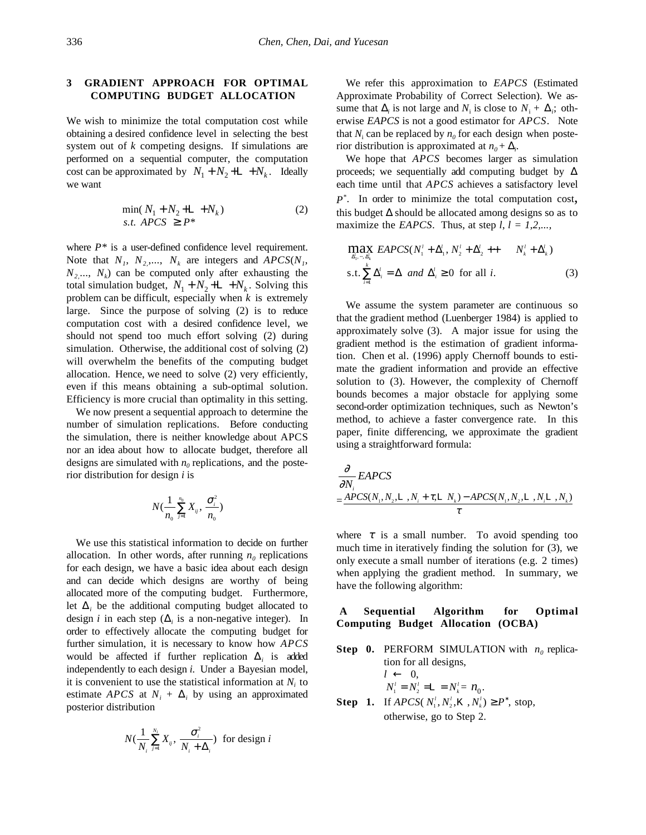### **3 GRADIENT APPROACH FOR OPTIMAL COMPUTING BUDGET ALLOCATION**

We wish to minimize the total computation cost while obtaining a desired confidence level in selecting the best system out of *k* competing designs. If simulations are performed on a sequential computer, the computation cost can be approximated by  $N_1 + N_2 + L + N_k$ . Ideally we want

$$
\min(N_1 + N_2 + \mathbb{L} + N_k) \text{s.t. } APCS \ge P^* \tag{2}
$$

where  $P^*$  is a user-defined confidence level requirement. Note that  $N_1$ ,  $N_2$ ,...,  $N_k$  are integers and  $APCS(N_1)$ ,  $N_2$ ...,  $N_k$ ) can be computed only after exhausting the total simulation budget,  $N_1 + N_2 + L + N_k$ . Solving this problem can be difficult, especially when *k* is extremely large. Since the purpose of solving (2) is to reduce computation cost with a desired confidence level, we should not spend too much effort solving (2) during simulation. Otherwise, the additional cost of solving (2) will overwhelm the benefits of the computing budget allocation. Hence, we need to solve (2) very efficiently, even if this means obtaining a sub-optimal solution. Efficiency is more crucial than optimality in this setting.

We now present a sequential approach to determine the number of simulation replications. Before conducting the simulation, there is neither knowledge about APCS nor an idea about how to allocate budget, therefore all designs are simulated with  $n_0$  replications, and the posterior distribution for design *i* is

$$
N(\frac{1}{n_0}\sum_{j=1}^{n_0}X_{ij},\frac{\sigma_i^2}{n_0})
$$

We use this statistical information to decide on further allocation. In other words, after running  $n_0$  replications for each design, we have a basic idea about each design and can decide which designs are worthy of being allocated more of the computing budget. Furthermore, let  $\Delta_i$  be the additional computing budget allocated to design *i* in each step ( $\Delta$ <sub>*i*</sub> is a non-negative integer). In order to effectively allocate the computing budget for further simulation, it is necessary to know how *APCS* would be affected if further replication ∆*<sup>i</sup>* is added independently to each design *i.* Under a Bayesian model, it is convenient to use the statistical information at  $N<sub>i</sub>$  to estimate *APCS* at  $N_i + \Delta_i$  by using an approximated posterior distribution

$$
N(\frac{1}{N_i}\sum_{j=1}^{N_i}X_{ij},\frac{\sigma_i^2}{N_i+\Delta_i})
$$
 for design *i*

We refer this approximation to *EAPCS* (Estimated Approximate Probability of Correct Selection). We assume that  $\Delta_i$  is not large and  $N_i$  is close to  $N_i + \Delta_i$ ; otherwise *EAPCS* is not a good estimator for *APCS*. Note that  $N_i$  can be replaced by  $n_0$  for each design when posterior distribution is approximated at  $n_0 + \Delta_i$ .

We hope that *APCS* becomes larger as simulation proceeds; we sequentially add computing budget by  $\Delta$ each time until that *APCS* achieves a satisfactory level *P\**. In order to minimize the total computation cost, this budget ∆ should be allocated among designs so as to maximize the *EAPCS*. Thus, at step  $l, l = 1, 2, \ldots$ 

$$
\max_{\Delta_1, \dots, \Delta_k'} \text{EAPCS}(N_1^i + \Delta_1^i, N_2^i + \Delta_2^i + \cdots N_k^i + \Delta_k^i)
$$
  
s.t. 
$$
\sum_{i=1}^k \Delta_i^i = \Delta \text{ and } \Delta_i^i \ge 0 \text{ for all } i.
$$
 (3)

We assume the system parameter are continuous so that the gradient method (Luenberger 1984) is applied to approximately solve (3). A major issue for using the gradient method is the estimation of gradient information. Chen et al. (1996) apply Chernoff bounds to estimate the gradient information and provide an effective solution to (3). However, the complexity of Chernoff bounds becomes a major obstacle for applying some second-order optimization techniques, such as Newton's method, to achieve a faster convergence rate. In this paper, finite differencing, we approximate the gradient using a straightforward formula:

$$
\frac{\partial}{\partial N_i}EAPCS
$$
\n
$$
= \frac{APCS(N_1, N_2, L_1, N_1 + \tau, L_1, N_2) - APCS(N_1, N_2, L_1, N_1, N_2)}{\tau}
$$

where  $\tau$  is a small number. To avoid spending too much time in iteratively finding the solution for (3), we only execute a small number of iterations (e.g. 2 times) when applying the gradient method. In summary, we have the following algorithm:

#### **A Sequential Algorithm for Optimal Computing Budget Allocation (OCBA)**

**Step 0.** PERFORM SIMULATION with  $n_0$  replication for all designs,  $l \leftarrow 0$ ,  $N_1^l = N_2^l = \mathbb{L} = N_k^l = n_0$ .

**Step 1.** If *APCS*( $N_1^{\prime}, N_2^{\prime}, K, N_k^{\prime}$ ) ≥ *P*<sup>\*</sup>, stop, otherwise, go to Step 2.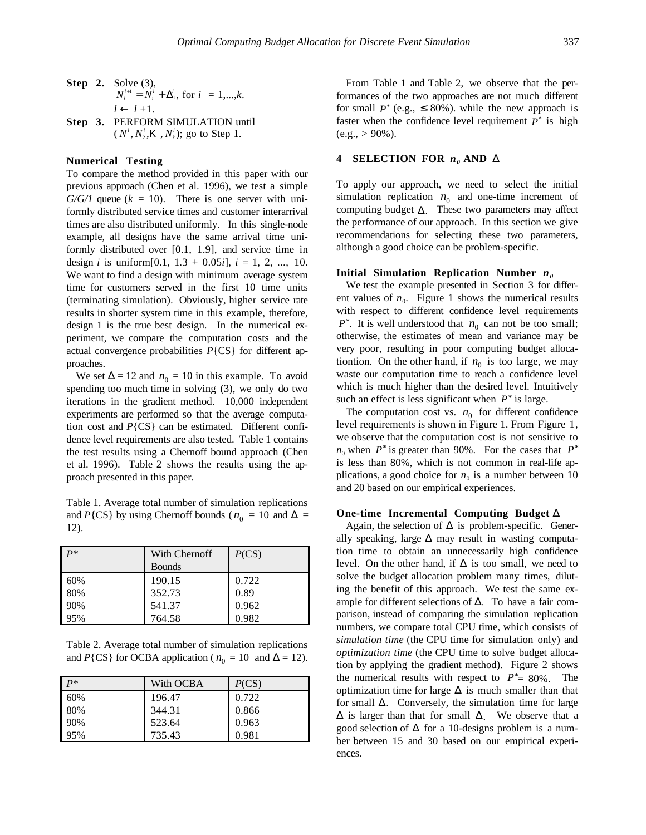#### **Numerical Testing**

To compare the method provided in this paper with our previous approach (Chen et al. 1996), we test a simple  $G/G/I$  queue ( $k = 10$ ). There is one server with uniformly distributed service times and customer interarrival times are also distributed uniformly. In this single-node example, all designs have the same arrival time uniformly distributed over [0.1, 1.9], and service time in design *i* is uniform[0.1,  $1.3 + 0.05i$ ],  $i = 1, 2, ..., 10$ . We want to find a design with minimum average system time for customers served in the first 10 time units (terminating simulation). Obviously, higher service rate results in shorter system time in this example, therefore, design 1 is the true best design. In the numerical experiment, we compare the computation costs and the actual convergence probabilities *P*{CS} for different approaches.

We set  $\Delta = 12$  and  $n_0 = 10$  in this example. To avoid spending too much time in solving (3), we only do two iterations in the gradient method. 10,000 independent experiments are performed so that the average computation cost and *P*{CS} can be estimated. Different confidence level requirements are also tested. Table 1 contains the test results using a Chernoff bound approach (Chen et al. 1996). Table 2 shows the results using the approach presented in this paper.

Table 1. Average total number of simulation replications and *P*{CS} by using Chernoff bounds ( $n_0 = 10$  and  $\Delta =$ 12).

| $P*$ | With Chernoff<br><b>Bounds</b> | P(CS) |
|------|--------------------------------|-------|
| 60%  | 190.15                         | 0.722 |
| 80%  | 352.73                         | 0.89  |
| 90%  | 541.37                         | 0.962 |
| 95%  | 764.58                         | 0.982 |

Table 2. Average total number of simulation replications and *P*{CS} for OCBA application ( $n_0 = 10$  and  $\Delta = 12$ ).

| $\mathbf{p}$ | With OCBA | P(CS) |
|--------------|-----------|-------|
| 60%          | 196.47    | 0.722 |
| 80%          | 344.31    | 0.866 |
| 90%          | 523.64    | 0.963 |
| 95%          | 735.43    | 0.981 |

From Table 1 and Table 2, we observe that the performances of the two approaches are not much different for small  $P^*$  (e.g.,  $\leq$  80%). while the new approach is faster when the confidence level requirement  $P^*$  is high  $(e.g., > 90\%).$ 

#### **4** SELECTION FOR  $n_0$  AND  $\Delta$

To apply our approach, we need to select the initial simulation replication  $n_0$  and one-time increment of computing budget ∆. These two parameters may affect the performance of our approach. In this section we give recommendations for selecting these two parameters, although a good choice can be problem-specific.

#### **Initial Simulation Replication Number** *n<sup>0</sup>*

We test the example presented in Section 3 for different values of  $n_0$ . Figure 1 shows the numerical results with respect to different confidence level requirements *P*<sup>\*</sup>. It is well understood that  $n_0$  can not be too small; otherwise, the estimates of mean and variance may be very poor, resulting in poor computing budget allocationtion. On the other hand, if  $n_0$  is too large, we may waste our computation time to reach a confidence level which is much higher than the desired level. Intuitively such an effect is less significant when  $P^*$  is large.

The computation cost vs.  $n_0$  for different confidence level requirements is shown in Figure 1. From Figure 1, we observe that the computation cost is not sensitive to  $n_0$  when  $P^*$  is greater than 90%. For the cases that  $P^*$ is less than 80%, which is not common in real-life applications, a good choice for  $n_0$  is a number between 10 and 20 based on our empirical experiences.

#### **One-time Incremental Computing Budget** ∆

Again, the selection of  $\Delta$  is problem-specific. Generally speaking, large ∆ may result in wasting computation time to obtain an unnecessarily high confidence level. On the other hand, if  $\Delta$  is too small, we need to solve the budget allocation problem many times, diluting the benefit of this approach. We test the same example for different selections of ∆. To have a fair comparison, instead of comparing the simulation replication numbers, we compare total CPU time, which consists of *simulation time* (the CPU time for simulation only) and *optimization time* (the CPU time to solve budget allocation by applying the gradient method). Figure 2 shows the numerical results with respect to  $P^* = 80\%$ . The optimization time for large  $\Delta$  is much smaller than that for small  $\Delta$ . Conversely, the simulation time for large  $\Delta$  is larger than that for small  $\Delta$ . We observe that a good selection of  $\Delta$  for a 10-designs problem is a number between 15 and 30 based on our empirical experiences.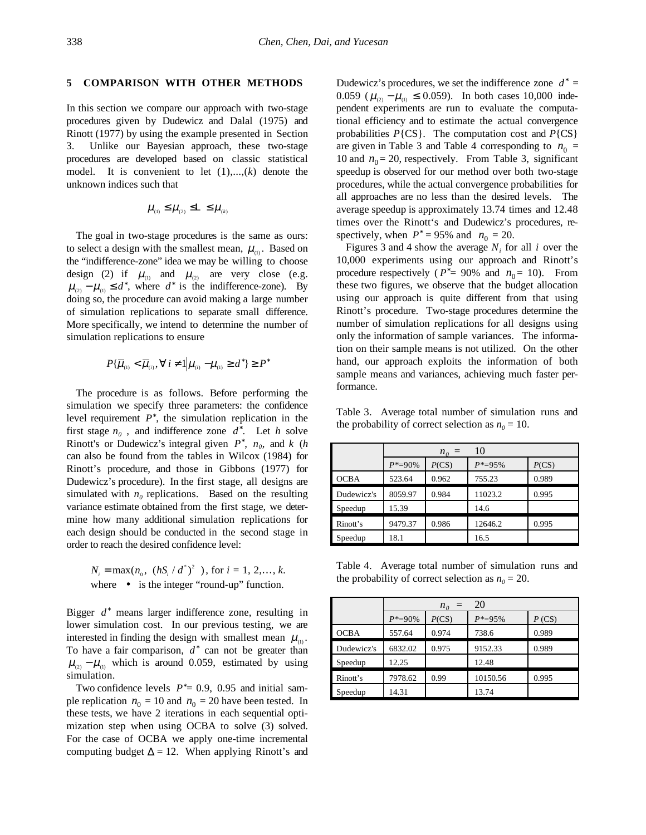#### **5 COMPARISON WITH OTHER METHODS**

In this section we compare our approach with two-stage procedures given by Dudewicz and Dalal (1975) and Rinott (1977) by using the example presented in Section 3. Unlike our Bayesian approach, these two-stage procedures are developed based on classic statistical model. It is convenient to let (1),...,(*k*) denote the unknown indices such that

$$
\mu_{\scriptscriptstyle (1)}\leq \mu_{\scriptscriptstyle (2)}\leq \perp \leq \mu_{\scriptscriptstyle (k)}
$$

The goal in two-stage procedures is the same as ours: to select a design with the smallest mean,  $\mu_{\text{m}}$ . Based on the "indifference-zone" idea we may be willing to choose design (2) if  $\mu_{(1)}$  and  $\mu_{(2)}$  are very close (e.g.  $\mu_{(2)} - \mu_{(1)} \le d^*$ , where  $d^*$  is the indifference-zone). By doing so, the procedure can avoid making a large number of simulation replications to separate small difference. More specifically, we intend to determine the number of simulation replications to ensure

$$
P\{\overline{\mu}_{_{(1)}} < \overline{\mu}_{_{(i)}}, \forall i \neq 1 | \mu_{_{(i)}} - \mu_{_{(1)}} \ge d^* \} \ge P^*
$$

The procedure is as follows. Before performing the simulation we specify three parameters: the confidence level requirement *P*<sup>∗</sup> , the simulation replication in the first stage  $n_0$ , and indifference zone  $d^*$ . Let  $h$  solve Rinott's or Dudewicz's integral given  $P^*$ ,  $n_0$ , and *k* (*h* can also be found from the tables in Wilcox (1984) for Rinott's procedure, and those in Gibbons (1977) for Dudewicz's procedure). In the first stage, all designs are simulated with  $n_0$  replications. Based on the resulting variance estimate obtained from the first stage, we determine how many additional simulation replications for each design should be conducted in the second stage in order to reach the desired confidence level:

$$
N_i = \max(n_0, \lceil (hS_i \mid d^*)^2 \rceil), \text{ for } i = 1, 2, \dots, k.
$$
  
where  $\lceil \bullet \rceil$  is the integer "round-up" function.

Bigger *d*<sup>∗</sup> means larger indifference zone, resulting in lower simulation cost. In our previous testing, we are interested in finding the design with smallest mean  $\mu_{\alpha}$ . To have a fair comparison,  $d^*$  can not be greater than  $\mu_{(2)} - \mu_{(1)}$  which is around 0.059, estimated by using simulation.

Two confidence levels  $P^* = 0.9$ , 0.95 and initial sample replication  $n_0 = 10$  and  $n_0 = 20$  have been tested. In these tests, we have 2 iterations in each sequential optimization step when using OCBA to solve (3) solved. For the case of OCBA we apply one-time incremental computing budget  $\Delta = 12$ . When applying Rinott's and

Dudewicz's procedures, we set the indifference zone  $d^* =$ 0.059 ( $\mu_{(2)} - \mu_{(1)} \le 0.059$ ). In both cases 10,000 independent experiments are run to evaluate the computational efficiency and to estimate the actual convergence probabilities *P*{CS}. The computation cost and *P*{CS} are given in Table 3 and Table 4 corresponding to  $n_0$  = 10 and  $n_0$  = 20, respectively. From Table 3, significant speedup is observed for our method over both two-stage procedures, while the actual convergence probabilities for all approaches are no less than the desired levels. The average speedup is approximately 13.74 times and 12.48 times over the Rinott's and Dudewicz's procedures, respectively, when  $P^* = 95\%$  and  $n_0 = 20$ .

Figures 3 and 4 show the average  $N_i$  for all *i* over the 10,000 experiments using our approach and Rinott's procedure respectively ( $P^* = 90\%$  and  $n_0 = 10$ ). From these two figures, we observe that the budget allocation using our approach is quite different from that using Rinott's procedure. Two-stage procedures determine the number of simulation replications for all designs using only the information of sample variances. The information on their sample means is not utilized. On the other hand, our approach exploits the information of both sample means and variances, achieving much faster performance.

Table 3. Average total number of simulation runs and the probability of correct selection as  $n_0 = 10$ .

|            | 10<br>$n_o =$ |       |              |       |  |
|------------|---------------|-------|--------------|-------|--|
|            | $P^* = 90\%$  | P(CS) | $P^* = 95\%$ | P(CS) |  |
| OCBA       | 523.64        | 0.962 | 755.23       | 0.989 |  |
| Dudewicz's | 8059.97       | 0.984 | 11023.2      | 0.995 |  |
| Speedup    | 15.39         |       | 14.6         |       |  |
| Rinott's   | 9479.37       | 0.986 | 12646.2      | 0.995 |  |
| Speedup    | 18.1          |       | 16.5         |       |  |

Table 4. Average total number of simulation runs and the probability of correct selection as  $n_0 = 20$ .

|             | 20<br>$n_0 =$ |       |              |          |
|-------------|---------------|-------|--------------|----------|
|             | $P^* = 90\%$  | P(CS) | $P^* = 95\%$ | $P$ (CS) |
| <b>OCBA</b> | 557.64        | 0.974 | 738.6        | 0.989    |
| Dudewicz's  | 6832.02       | 0.975 | 9152.33      | 0.989    |
| Speedup     | 12.25         |       | 12.48        |          |
| Rinott's    | 7978.62       | 0.99  | 10150.56     | 0.995    |
| Speedup     | 14.31         |       | 13.74        |          |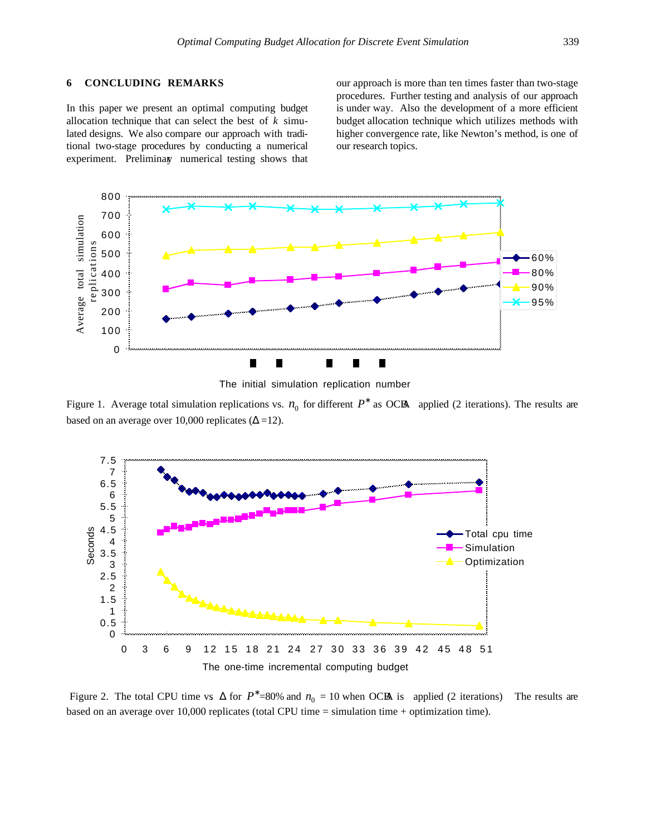In this paper we present an optimal computing budget allocation technique that can select the best of *k* simulated designs. We also compare our approach with traditional two-stage procedures by conducting a numerical experiment. Preliminary numerical testing shows that our approach is more than ten times faster than two-stage procedures. Further testing and analysis of our approach is under way. Also the development of a more efficient budget allocation technique which utilizes methods with higher convergence rate, like Newton's method, is one of our research topics.



The initial simulation replication number

Figure 1. Average total simulation replications vs.  $n_0$  for different  $P^*$  as OCBA applied (2 iterations). The results are based on an average over 10,000 replicates ( $\Delta$  =12).



Figure 2. The total CPU time vs.  $\Delta$  for  $P^*$ =80% and  $n_0 = 10$  when OCBA is applied (2 iterations) The results are based on an average over 10,000 replicates (total CPU time = simulation time + optimization time).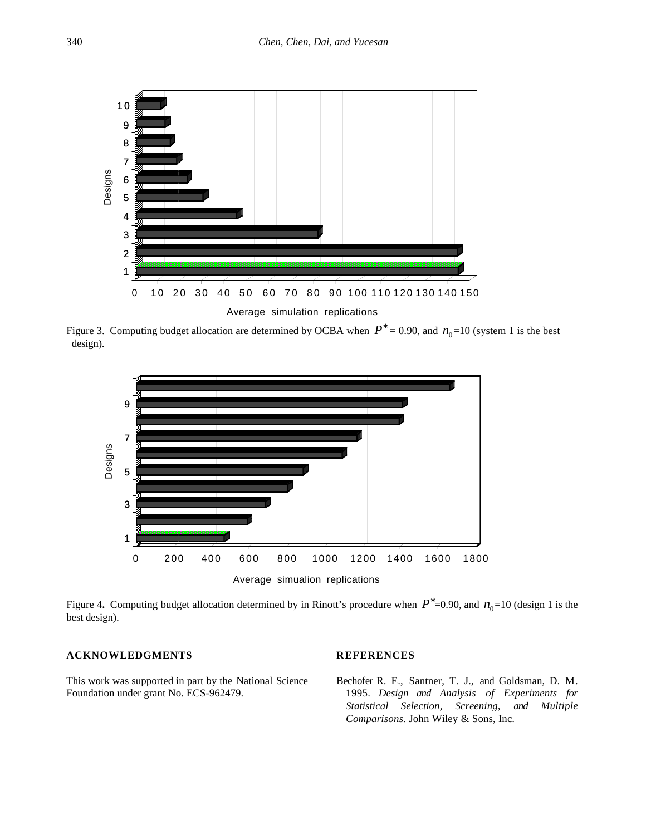

Figure 3. Computing budget allocation are determined by OCBA when  $P^* = 0.90$ , and  $n_0 = 10$  (system 1 is the best design).



Figure 4. Computing budget allocation determined by in Rinott's procedure when  $P^*$ =0.90, and  $n_0$ =10 (design 1 is the best design).

# **ACKNOWLEDGMENTS**

This work was supported in part by the National Science Foundation under grant No. ECS-962479.

## **REFERENCES**

Bechofer R. E., Santner, T. J., and Goldsman, D. M. 1995. *Design and Analysis of Experiments for Statistical Selection, Screening, and Multiple Comparisons.* John Wiley & Sons, Inc.